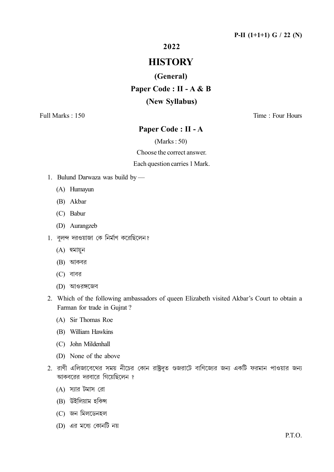2022

# **HISTORY**

#### (General)

Paper Code : II - A & B

#### (New Syllabus)

Full Marks : 150 Time : Four Hours

# Paper Code : II - A

(Marks : 50)

Choose the correct answer.

Each question carries 1 Mark.

- 1. Bulund Darwaza was build by
	- (A) Humayun
	- (B) Akbar
	- (C) Babur
	- (D) Aurangzeb
- 1. বলন্দ দরওয়াজা কে নির্মাণ করেছিলেন?
	- $(A)$  হুমায়ুন
	- $(B)$  আকবর
	- $(C)$  বাবর
	- (D) আওরঙ্গজেব
- 2. Which of the following ambassadors of queen Elizabeth visited Akbar's Court to obtain a Farman for trade in Gujrat ?
	- (A) Sir Thomas Roe
	- (B) William Hawkins
	- (C) John Mildenhall
	- (D) None of the above
- 2. রাণী এলিজাবেথের সময় নীচের কোন রাষ্ট্রদূত গুজরাটে বাণিজ্যের জন্য একটি ফরমান পাওয়ার জন্য আকবরের দরবারে গিয়েছিলেন ?
	- $(A)$  স্যার টমাস রো
	- $(B)$  উইলিয়াম হকিন্স
	- (C) জন মিলডেনহল
	- (D) এর মধ্যে কোনটি নয়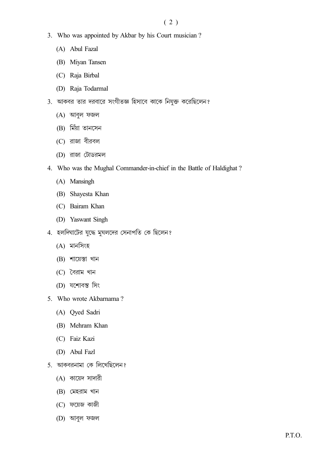- 3. Who was appointed by Akbar by his Court musician?
	- (A) Abul Fazal
	- (B) Miyan Tansen
	- (C) Raja Birbal
	- (D) Raja Todarmal
- 3. আকবর তার দরবারে সংগীতজ্ঞ হিসাবে কাকে নিযুক্ত করেছিলেন?
	- $(A)$  আবুল ফজল
	- (B) মিঁয়া তানসেন
	- $(C)$  রাজা বীরবল
	- (D) রাজা টোডরমল
- 4. Who was the Mughal Commander-in-chief in the Battle of Haldighat?
	- (A) Mansingh
	- (B) Shayesta Khan
	- (C) Bairam Khan
	- (D) Yaswant Singh
- 4. হলদিঘাটের যুদ্ধে মুঘলদের সেনাপতি কে ছিলেন?
	- $(A)$  মানসিংহ
	- $(B)$  শায়েস্তা খান
	- $(C)$  বৈরাম খান
	- (D) যশোবন্ত সিং
- 5. Who wrote Akbarnama?
	- (A) Qyed Sadri
	- (B) Mehram Khan
	- (C) Faiz Kazi
	- (D) Abul Fazl
- 5. আকবরনামা কে লিখেছিলেন?
	- (A) কায়েদ সাদারী
	- $(B)$  মেহরাম খান
	- (C) ফয়েজ কাজী
	- (D) আবুল ফজল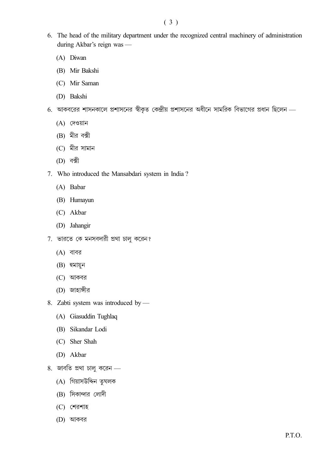- 6. The head of the military department under the recognized central machinery of administration during Akbar's reign was —
	- (A) Diwan
	- (B) Mir Bakshi
	- (C) Mir Saman
	- (D) Bakshi
- 6. আকবরের শাসনকালে প্রশাসনের স্বীকৃত কেন্দ্রীয় প্রশাসনের অধীনে সামরিক বিভাগের প্রধান ছিলেন
	- $(A)$  দেওয়ান
	- $(B)$  মীর বক্সী
	- (C) মীর সামান
	- $(D)$  বক্সী
- 7. Who introduced the Mansabdari system in India ?
	- (A) Babar
	- (B) Humayun
	- (C) Akbar
	- (D) Jahangir
- 7. ভারতে কে মনসবদারী প্রথা চালু করেন?
	- $(A)$  বাবর
	- $(B)$  হুমায়ুন
	- $(C)$  আকবর
	- (D) জাহাঙ্গীর
- 8. Zabti system was introduced by
	- (A) Giasuddin Tughlaq
	- (B) Sikandar Lodi
	- (C) Sher Shah
	- (D) Akbar
- 8. জাবতি প্রথা চালু করেন $-$ 
	- (A) গিয়াসউদ্দিন তৃঘলক
	- $(B)$  সিকান্দার লোদী
	- $(C)$  শেরশাহ
	- $(D)$  আকবর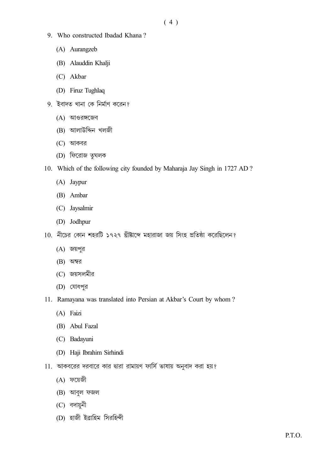- 9. Who constructed Ibadad Khana?
	- (A) Aurangzeb
	- (B) Alauddin Khalji
	- (C) Akbar
	- (D) Firuz Tughlaq
- 9. ইবাদত খানা কে নিৰ্মাণ করেন?
	- $(A)$  আওরঙ্গজেব
	- (B) আলাউদ্দিন খলজী
	- $(C)$  আকবর
	- (D) ফিরোজ তুঘলক
- 10. Which of the following city founded by Maharaja Jay Singh in 1727 AD?
	- (A) Jaypur
	- (B) Ambar
	- (C) Jaysalmir
	- (D) Jodhpur
- 10. নীচের কোন শহরটি ১৭২৭ খ্রীষ্টাব্দে মহারাজা জয় সিংহ প্রতিষ্ঠা করেছিলেন?
	- $(A)$  জয়পুর
	- $(B)$  অম্বর
	- (C) জয়সলমীর
	- (D) যোধপুর
- 11. Ramayana was translated into Persian at Akbar's Court by whom?
	- (A) Faizi
	- (B) Abul Fazal
	- (C) Badayuni
	- (D) Haji Ibrahim Sirhindi
- 11. আকবরের দরবারে কার দ্বারা রামায়ণ ফার্সি ভাষায় অনুবাদ করা হয়?
	- $(A)$  ফয়েজী
	- $(B)$  আবুল ফজল
	- $(C)$  বদায়নী
	- (D) হাজী ইৱাহিম সিরহিন্দী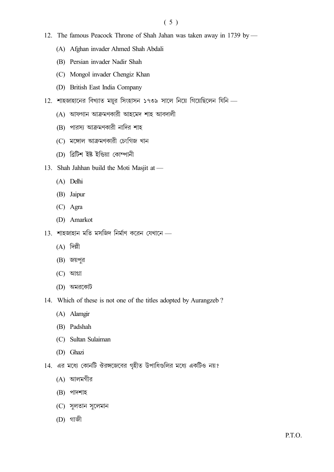- 12. The famous Peacock Throne of Shah Jahan was taken away in 1739 by -
	- (A) Afghan invader Ahmed Shah Abdali
	- (B) Persian invader Nadir Shah
	- (C) Mongol invader Chengiz Khan
	- (D) British East India Company
- 12. শাহজাহানের বিখ্যাত ময়ূর সিংহাসন ১৭৩৯ সালে নিয়ে গিয়েছিলেন যিনি -
	- $(A)$  আফগান আক্রমণকারী আহমেদ শাহ আবদালী
	- (B) পারস্য আক্রমণকারী নাদির শাহ
	- (C) মঙ্গোল আক্ৰমণকারী চেংগিজ খান
	- (D) ৱিটিশ ইষ্ট ইন্ডিয়া কোম্পানী
- 13. Shah Jahhan build the Moti Masjit at -
	- (A) Delhi
	- (B) Jaipur
	- $(C)$  Agra
	- (D) Amarkot
- $13.$  শাহজাহান মতি মসজিদ নিৰ্মাণ করেন যেখানে ...
	- $(A)$  দিল্লী
	- $(B)$  জয়পুর
	- $(C)$  আগ্রা
	- $(D)$  অমরকোট
- 14. Which of these is not one of the titles adopted by Aurangzeb?
	- (A) Alamgir
	- (B) Padshah
	- (C) Sultan Sulaiman
	- (D) Ghazi
- 14. এর মধ্যে কোনটি ঔরঙ্গজেবের গৃহীত উপাধিগুলির মধ্যে একটিও নয়?
	- (A) আলমগীর
	- $(B)$  পাদশাহ
	- (C) সুলতান সুলেমান
	- $(D)$  গাজী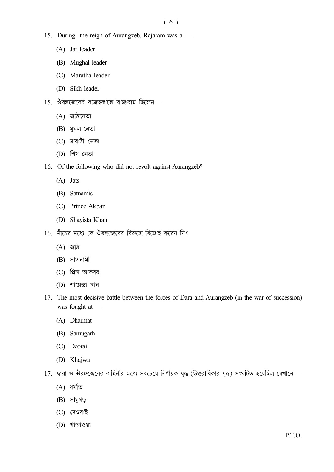- 15. During the reign of Aurangzeb, Rajaram was a
	- (A) Jat leader
	- (B) Mughal leader
	- (C) Maratha leader
	- (D) Sikh leader
- $15.$  ঔরঙ্গজেবের রাজত্বকালে রাজারাম ছিলেন
	- $(A)$  জা $\delta$ নেতা
	- $(B)$  মুঘল নেতা
	- (C) মারাঠী নেতা
	- $(D)$  শিখ নেতা
- 16. Of the following who did not revolt against Aurangzeb?
	- (A) Jats
	- (B) Satnamis
	- (C) Prince Akbar
	- (D) Shayista Khan
- 16. নীচের মধ্যে কে ঔরঙ্গজেবের বিরুদ্ধে বিদ্রোহ করেন নি?
	- (A) জাঠ
	- $(B)$  সাতনামী
	- (C) গ্রিন্স আকবর
	- $(D)$  শায়েস্তা খান
- 17. The most decisive battle between the forces of Dara and Aurangzeb (in the war of succession) was fought at —
	- (A) Dharmat
	- (B) Samugarh
	- (C) Deorai
	- (D) Khajwa
- 17. দ্বারা ও ঔরঙ্গজেবের বাহিনীর মধ্যে সবচেয়ে নির্ণায়ক যুদ্ধ (উত্তরাধিকার যুদ্ধ) সংঘটিত হয়েছিল যেখানে
	- $(A)$  ধর্মাত
	- (B) সামুগড়
	- $(C)$  দেওরাই
	- $(D)$  থাজাওয়া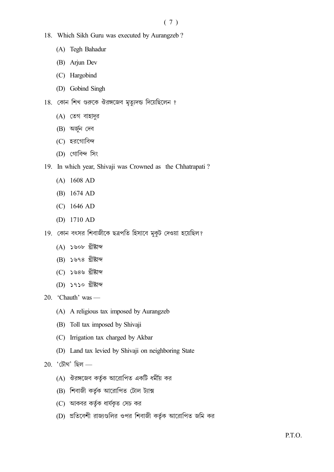- 18. Which Sikh Guru was executed by Aurangzeb?
	- (A) Tegh Bahadur
	- (B) Arjun Dev
	- (C) Hargobind
	- (D) Gobind Singh
- 18. কোন শিখ গুরুকে ঔরঙ্গজেব মৃত্যুদন্ড দিয়েছিলেন ?
	- (A) তেগ বাহাদুর
	- (B) অৰ্জুন দেব
	- (C) হরগোবিন্দ
	- (D) গোবিন্দ সিং
- 19. In which year, Shivaji was Crowned as the Chhatrapati?
	- $(A)$  1608 AD
	- (B) 1674 AD
	- $(C)$  1646 AD
	- (D)  $1710$  AD
- 19. কোন বৎসর শিবাজীকে ছত্রপতি হিসাবে মুকুট দেওয়া হয়েছিল?
	- $(A)$  ১৬০৮ খ্ৰীষ্টাব্দ
	- (B) ১৬৭৪ খ্ৰীষ্টাব্দ
	- (C) ১৬৪৬ খ্ৰীষ্টাব্দ
	- (D) ১৭১০ খ্ৰীষ্টাব্দ

20. 'Chauth' was —

- (A) A religious tax imposed by Aurangzeb
- (B) Toll tax imposed by Shivaji
- (C) Irrigation tax charged by Akbar
- (D) Land tax levied by Shivaji on neighboring State

20. 'চৌথ' ছিল —

- $(A)$  ঔরঙ্গজেব কর্তৃক আরোপিত একটি ধর্মীয় কর
- (B) শিবাজী কর্তৃক আরোপিত টোল ট্যাক্স
- (C) আকবর কর্তৃক ধার্যকৃত সেচ কর
- (D) প্রতিবেশী রাজ্যগুলির ওপর শিবাজী কর্তৃক আরোপিত জমি কর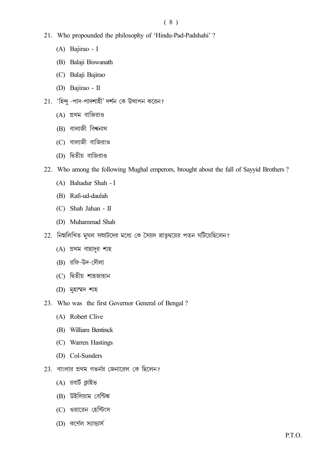## $(8)$

- 21. Who propounded the philosophy of 'Hindu-Pad-Padshahi'?
	- (A) Bajirao I
	- (B) Balaji Biswanath
	- (C) Balaji Bajirao
	- (D) Bajirao II
- 21. 'হিন্দু -পাদ-পাদশাহী' দর্শন কে উত্থাপন করেন?
	- $(A)$  প্রথম বাজিরাও
	- $(B)$  বালাজী বিশ্বনাথ
	- $(C)$  বালাজী বাজিরাও
	- (D) দ্বিতীয় বাজিরাও
- 22. Who among the following Mughal emperors, brought about the fall of Sayyid Brothers?
	- (A) Bahadur Shah I
	- (B) Rafi-ud-daulah
	- $(C)$  Shah Jahan II
	- (D) Muhammad Shah
- 22. নিম্নলিখিত মুঘল সম্রাটদের মধ্যে কে সৈয়দ ভ্রাতৃদ্বয়ের পতন ঘটিয়েছিলেন?
	- $(A)$  প্রথম বাহাদুর শাহ
	- (B) রফি-উদ-দৌলা
	- (C) দ্বিতীয় শাহজাহান
	- $(D)$  মুহাম্মদ শাহ
- 23. Who was the first Governor General of Bengal?
	- (A) Robert Clive
	- (B) William Bentinck
	- (C) Warren Hastings
	- (D) Col-Sunders
- 23. বাংলার প্রথম গভর্নর জেনারেল কে ছিলেন?
	- (A) রবার্ট ক্লাইভ
	- (B) উইলিয়াম বেন্টিঙ্ক
	- (C) ওয়ারেন হেস্টিংস
	- (D) কর্ণেল স্যান্ডার্স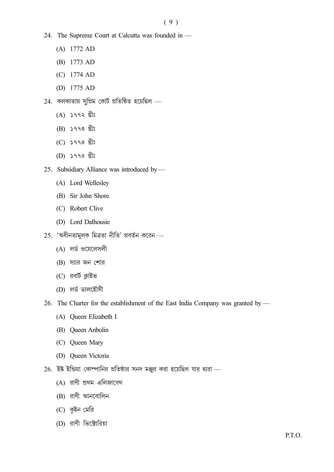- 24. The Supreme Court at Calcutta was founded in -
	- $(A)$  1772 AD
	- (B) 1773 AD
	- $(C)$  1774 AD
	- (D)  $1775$  AD
- $24.$  কলকাতায় সুপ্রিম কোর্ট প্রতিষ্ঠিত হয়েছিল
	- $(A)$  ১৭৭২ খ্ৰীঃ
	- $(B)$  ১৭৭৩ খ্ৰীঃ
	- $(C)$  ১৭৭৪ খ্রীঃ
	- (D) ১৭৭৫ খ্ৰীঃ
- 25. Subsidiary Alliance was introduced by -
	- (A) Lord Wellesley
	- (B) Sir John Shore
	- (C) Robert Clive
	- (D) Lord Dalhousie
- $25.$  'অধীনতামূলক মিত্ৰতা নীতি' প্ৰবৰ্তন করেন
	- (A) লর্ড ওয়েলেসলী
	- $(B)$  স্যার জন শোর
	- (C) রবার্ট ক্লাইভ
	- (D) লৰ্ড ডালহৌসী
- 26. The Charter for the establishment of the East India Company was granted by
	- (A) Queen Elizabeth I
	- (B) Queen Anbolin
	- (C) Queen Mary
	- (D) Queen Victoria
- $26.$  ইষ্ট ইন্ডিয়া কোম্পানির প্রতিষ্ঠার সনদ মঞ্জুর করা হয়েছিল যার দ্বারা ...
	- $(A)$  রাণী প্রথম এলিজাবেথ
	- $(B)$  রাণী আনবোলিন
	- (C) কুইন মেরি
	- (D) রাণী ভিক্টোরিয়া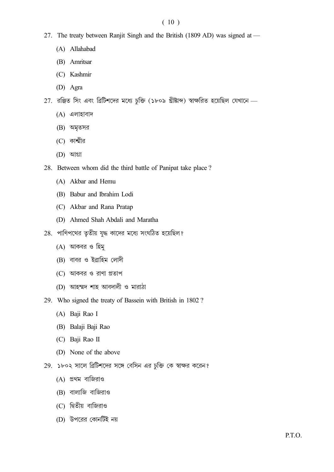#### $(10)$

- 27. The treaty between Ranjit Singh and the British (1809 AD) was signed at -
	- (A) Allahabad
	- (B) Amritsar
	- (C) Kashmir
	- (D) Agra
- 27. রঞ্জিত সিং এবং ব্রিটিশদের মধ্যে চুক্তি (১৮০৯ খ্রীষ্টাব্দ) স্বাক্ষরিত হয়েছিল যেখানে -
	- $(A)$  এলাহাবাদ
	- (B) অমৃতসর
	- $(C)$  কাশ্মীর
	- $(D)$  আগ্রা
- 28. Between whom did the third battle of Panipat take place?
	- (A) Akbar and Hemu
	- (B) Babur and Ibrahim Lodi
	- (C) Akbar and Rana Pratap
	- (D) Ahmed Shah Abdali and Maratha
- 28. পাণিপথের তৃতীয় যুদ্ধ কাদের মধ্যে সংঘঠিত হয়েছিল?
	- (A) আকবর ও হিমু
	- (B) বাবর ও ইব্রাহিম লোদী
	- $(C)$  আকবর ও রাণা প্রতাপ
	- $(D)$  আহম্মদ শাহ আবদালী ও মারাঠা
- 29. Who signed the treaty of Bassein with British in 1802?
	- (A) Baji Rao I
	- (B) Balaji Baji Rao
	- (C) Baji Rao II
	- (D) None of the above
- 29. ১৮০২ সালে ব্রিটিশদের সঙ্গে বেসিন এর চুক্তি কে স্বাক্ষর করেন?
	- $(A)$  প্রথম বাজিরাও
	- $(B)$  বালাজি বাজিরাও
	- (C) দ্বিতীয় বাজিরাও
	- (D) উপরের কোনটিই নয়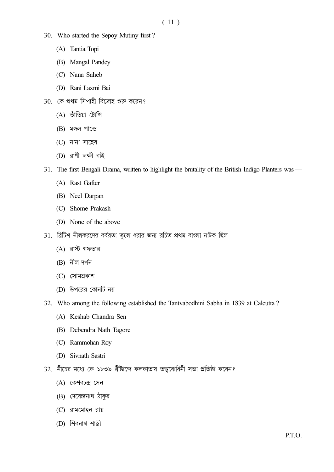- 30. Who started the Sepoy Mutiny first?
	- (A) Tantia Topi
	- (B) Mangal Pandey
	- (C) Nana Saheb
	- (D) Rani Laxmi Bai
- $30.$  কে প্রথম সিপাহী বিদ্রোহ শুরু করেন?
	- (A) তাঁতিয়া টোপি
	- (B) মঙ্গল পান্ডে
	- $(C)$  নানা সাহেব
	- $(D)$  রাণী লক্ষী বাই
- 31. The first Bengali Drama, written to highlight the brutality of the British Indigo Planters was
	- (A) Rast Gafter
	- (B) Neel Darpan
	- (C) Shome Prakash
	- (D) None of the above
- 31. ব্রিটিশ নীলকরদের বর্বরতা তুলে ধরার জন্য রচিত প্রথম বাংলা নাটক ছিল
	- (A) রাস্ট গফতার
	- $(B)$  নীল দৰ্পন
	- $(C)$  সোমপ্ৰকাশ
	- (D) উপরের কোনটি নয়
- 32. Who among the following established the Tantvabodhini Sabha in 1839 at Calcutta?
	- (A) Keshab Chandra Sen
	- (B) Debendra Nath Tagore
	- (C) Rammohan Roy
	- (D) Sivnath Sastri
- 32. নীচের মধ্যে কে ১৮৩৯ খ্রীষ্টাব্দে কলকাতায় তত্ত্ববোধিনী সভা প্রতিষ্ঠা করেন?
	- $(A)$  কেশবচন্দ্ৰ সেন
	- (B) দেবেন্দ্রনাথ ঠাকুর
	- $(C)$  রামমোহন রায়
	- (D) শিবনাথ শাস্ত্রী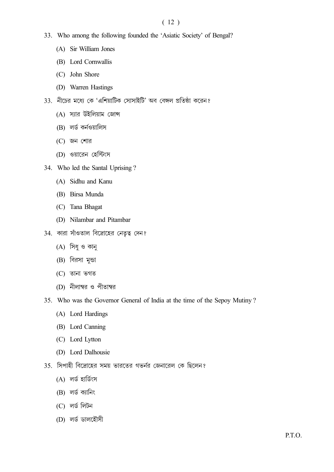### $(12)$

- 33. Who among the following founded the 'Asiatic Society' of Bengal?
	- (A) Sir William Jones
	- (B) Lord Cornwallis
	- (C) John Shore
	- (D) Warren Hastings
- 33. নীচের মধ্যে কে 'এশিয়াটিক সোসাইটি' অব বেঙ্গল প্রতিষ্ঠা করেন?
	- $(A)$  স্যার উইলিয়াম জোন্স
	- (B) লৰ্ড কৰ্নওয়ালিস
	- $(C)$  জন শোর
	- (D) ওয়ারেন হেস্টিংস
- 34. Who led the Santal Uprising?
	- (A) Sidhu and Kanu
	- (B) Birsa Munda
	- (C) Tana Bhagat
	- (D) Nilambar and Pitambar
- 34. কারা সাঁওতাল বিদ্রোহের নেতৃত্ব দেন?
	- (A) সিধু ও কানু
	- (B) বিরসা মুন্ডা
	- $(C)$  তানা ভগত
	- (D) নীলাম্বর ও পীতাম্বর
- 35. Who was the Governor General of India at the time of the Sepoy Mutiny?
	- (A) Lord Hardings
	- (B) Lord Canning
	- (C) Lord Lytton
	- (D) Lord Dalhousie
- 35. সিপাহী বিদ্রোহের সময় ভারতের গভর্নর জেনারেল কে ছিলেন?
	- (A) লৰ্ড হাৰ্ডিংস
	- $(B)$  লৰ্ড ক্যানিং
	- $(C)$  লৰ্ড লিটন
	- (D) লৰ্ড ডালহৌসী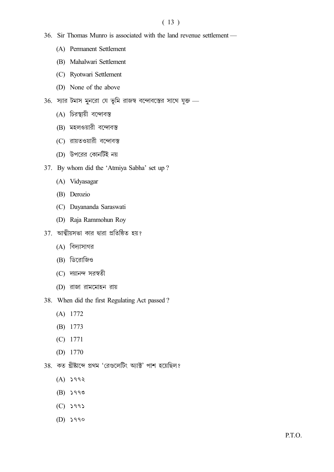## $(13)$

- 36. Sir Thomas Munro is associated with the land revenue settlement
	- (A) Permanent Settlement
	- (B) Mahalwari Settlement
	- (C) Ryotwari Settlement
	- (D) None of the above
- 36.  $\overline{v}$ সার টমাস মুনরো যে ভূমি রাজস্ব বন্দোবস্তের সাথে যুক্ত
	- (A) চিরস্থায়ী বন্দোবস্ত
	- $(B)$  মহলওয়ারী বন্দোবস্ত
	- (C) রায়তওয়ারী বন্দোবস্ত
	- (D) উপরের কোনটিই নয়
- 37. By whom did the 'Atmiya Sabha' set up ?
	- (A) Vidyasagar
	- (B) Derozio
	- (C) Dayananda Saraswati
	- (D) Raja Rammohun Roy
- $37.$  আত্মীয়সভা কার দ্বারা প্রতিষ্ঠিত হয়?
	- $(A)$  বিদ্যাসাগর
	- $(B)$  ডিরোজিও
	- $(C)$  দয়ানন্দ সরস্বতী
	- $(D)$  রাজা রামমোহন রায়
- 38. When did the first Regulating Act passed ?
	- (A) 1772
	- (B) 1773
	- (C) 1771
	- (D) 1770
- 38. কত খ্ৰীষ্টাব্দে প্ৰথম 'ৱেগুলেটিং অ্যাক্ট' পাশ হয়েছিল?
	- $(A)$   $\searrow$  992
	- $(B)$   $\searrow$  990
	- $(C)$  5995
	- $(D)$   $\searrow$  990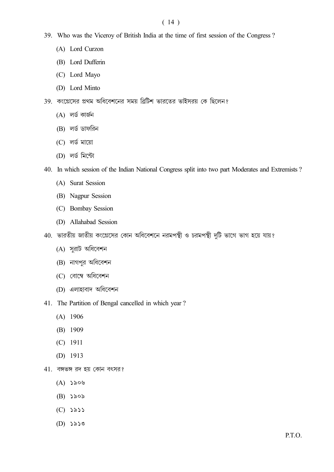# $(14)$

- 39. Who was the Viceroy of British India at the time of first session of the Congress?
	- (A) Lord Curzon
	- (B) Lord Dufferin
	- (C) Lord Mayo
	- (D) Lord Minto
- 39. কংগ্রেসের প্রথম অধিবেশনের সময় ব্রিটিশ ভারতের ভাইসরয় কে ছিলেন?
	- $(A)$  লৰ্ড কাৰ্জন
	- (B) লৰ্ড ডাফরিন
	- $(C)$  লর্ড মায়ো
	- (D) লর্ড মিন্টো
- 40. In which session of the Indian National Congress split into two part Moderates and Extremists?
	- (A) Surat Session
	- (B) Nagpur Session
	- (C) Bombay Session
	- (D) Allahabad Session
- 40. ভারতীয় জাতীয় কংগ্রেসের কোন অধিবেশনে নরমপন্থী ও চরমপন্থী দুটি ভাগে ভাগ হয়ে যায়?
	- (A) সুরাট অধিবেশন
	- (B) নাগপুর অধিবেশন
	- (C) বোম্বে অধিবেশন
	- (D) এলাহাবাদ অধিবেশন
- 41. The Partition of Bengal cancelled in which year?
	- $(A)$  1906
	- $(B)$  1909
	- $(C)$  1911
	- $(D)$  1913
- $41.$  বঙ্গভঙ্গ রদ হয় কোন বৎসর?
	- $(A)$  ১৯০৬
	- $(B)$  ১৯০৯
	- $(C)$   $\geq \geq \geq$
	- $(D)$  ১৯১৩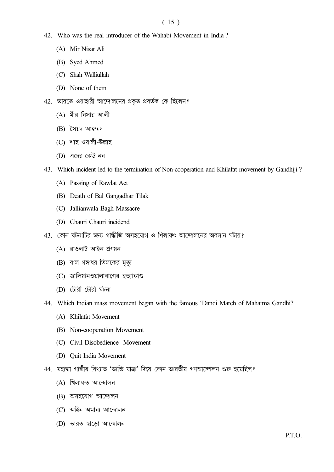#### $(15)$

- 42. Who was the real introducer of the Wahabi Movement in India?
	- (A) Mir Nisar Ali
	- (B) Syed Ahmed
	- (C) Shah Walliullah
	- (D) None of them
- 42. ভারতে ওয়াহারী আন্দোলনের প্রকৃত প্রবর্তক কে ছিলেন?
	- $(A)$  মীর নিসার আলী
	- (B) সৈয়দ আহম্মদ
	- (C) শাহ ওয়ালী-উল্লাহ
	- (D) এদের কেউ নন
- 43. Which incident led to the termination of Non-cooperation and Khilafat movement by Gandhiji?
	- (A) Passing of Rawlat Act
	- (B) Death of Bal Gangadhar Tilak
	- (C) Jallianwala Bagh Massacre
	- (D) Chauri Chauri incidend
- 43. কোন ঘটনাটির জন্য গান্ধীজি অসহযোগ ও খিলাফৎ আন্দোলনের অবসান ঘটায়?
	- $(A)$  রাওলাট আইন প্রণয়ন
	- (B) বাল গঙ্গাধর তিলকের মৃত্যু
	- (C) জালিয়ানওয়ালাবাগের হত্যাকাণ্ড
	- (D) চৌরী চৌরী ঘটনা
- 44. Which Indian mass movement began with the famous 'Dandi March of Mahatma Gandhi?
	- (A) Khilafat Movement
	- (B) Non-cooperation Movement
	- (C) Civil Disobedience Movement
	- (D) Quit India Movement
- 44. মহাত্মা গান্ধীর বিখ্যাত 'ডান্ডি যাত্রা' দিয়ে কোন ভারতীয় গণআন্দোলন শুরু হয়েছিল?
	- (A) খিলাফত আন্দোলন
	- (B) অসহযোগ আন্দোলন
	- (C) আইন অমান্য আন্দোলন
	- (D) ভারত ছাডো আন্দোলন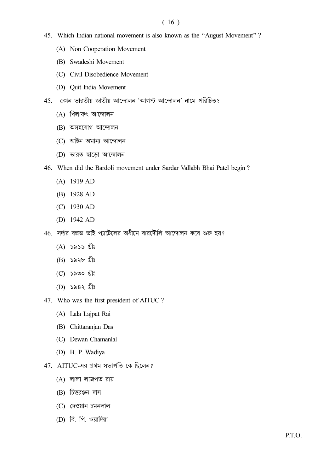#### $(16)$

- 45. Which Indian national movement is also known as the "August Movement"?
	- (A) Non Cooperation Movement
	- (B) Swadeshi Movement
	- (C) Civil Disobedience Movement
	- (D) Quit India Movement
- 45. কোন ভারতীয় জাতীয় আন্দোলন 'আগস্ট আন্দোলন' নামে পরিচিত?
	- $(A)$  খিলাফৎ আন্দোলন
	- (B) অসহযোগ আন্দোলন
	- (C) আইন অমান্য আন্দোলন
	- (D) ভারত ছাড়ো আন্দোলন
- 46. When did the Bardoli movement under Sardar Vallabh Bhai Patel begin?
	- $(A)$  1919 AD
	- (B) 1928 AD
	- $(C)$  1930 AD
	- (D)  $1942$  AD
- $46.$  সর্দার বল্লভ ভাই প্যাটেলের অধীনে বারদৌলি আন্দোলন কবে শুরু হয়?
	- $(A)$  ১৯১৯ খ্ৰীঃ
	- $(B)$  ১৯২৮ খ্ৰীঃ
	- $(C)$  ১৯৩০ খ্ৰীঃ
	- (D) ১৯৪২ খ্ৰীঃ
- 47. Who was the first president of AITUC?
	- (A) Lala Lajpat Rai
	- (B) Chittaranjan Das
	- (C) Dewan Chamanlal
	- (D) B. P. Wadiya
- 47. AITUC-এর প্রথম সভাপতি কে ছিলেন?
	- (A) লালা লাজপত রায়
	- $(B)$  চিত্তরঞ্জন দাস
	- $(C)$  দেওয়ান চমনলাল
	- (D) বি. পি. ওয়াদিয়া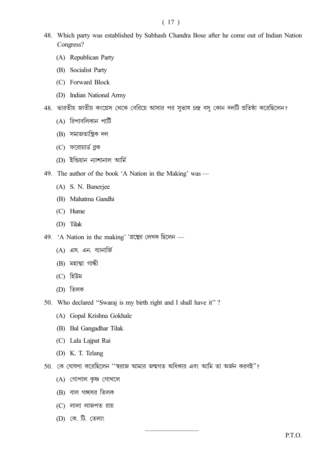#### $(17)$

- 48. Which party was established by Subhash Chandra Bose after he come out of Indian Nation Congress?
	- (A) Republican Party
	- (B) Socialist Party
	- (C) Forward Block
	- (D) Indian National Army
- 48. ভারতীয় জাতীয় কংগ্রেস থেকে বেরিয়ে আসার পর সূভাষ চন্দ্র বসু কোন দলটি প্রতিষ্ঠা করেছিলেন?
	- $(A)$  রিপাবলিকান পার্টি
	- (B) সমাজতান্ত্ৰিক দল
	- (C) ফরোয়ার্ড ব্লক
	- (D) ইন্ডিয়ান ন্যাশানাল আৰ্মি
- 49. The author of the book 'A Nation in the Making' was
	- (A) S. N. Banerjee
	- (B) Mahatma Gandhi
	- (C) Hume
	- (D) Tilak
- 49. 'A Nation in the making' 'গ্ৰন্থের লেখক ছিলেন
	- $(A)$  এস. এন. ব্যানার্জি
	- $(B)$  মহাত্মা গান্ধী
	- (C) হিউম
	- $(D)$  তিলক
- 50. Who declared "Swaraj is my birth right and I shall have it"?
	- (A) Gopal Krishna Gokhale
	- (B) Bal Gangadhar Tilak
	- (C) Lala Lajpat Rai
	- (D) K. T. Telang
- 50. কে ঘোষণা করেছিলেন ''স্বরাজ আমার জন্মগত অধিকার এবং আমি তা অর্জন করবই"?
	- (A) গোপাল কৃষ্ণ গোখলে
	- (B) বাল গঙ্গাধর তিলক
	- (C) লালা লাজপত রায়
	- (D) কে. টি. তেলাং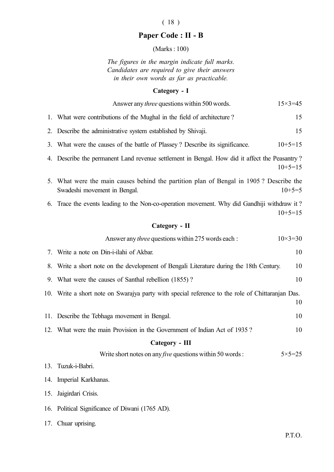# ( 18 )

# Paper Code : II - B

(Marks : 100)

The figures in the margin indicate full marks. Candidates are required to give their answers in their own words as far as practicable.

# Category - I

|                | Answer any <i>three</i> questions within 500 words.                                                                                | $15 \times 3 = 45$ |  |
|----------------|------------------------------------------------------------------------------------------------------------------------------------|--------------------|--|
| 1.             | What were contributions of the Mughal in the field of architecture?                                                                | 15                 |  |
| 2.             | Describe the administrative system established by Shivaji.                                                                         | 15                 |  |
| 3.             | What were the causes of the battle of Plassey? Describe its significance.                                                          | $10+5=15$          |  |
| 4.             | Describe the permanent Land revenue settlement in Bengal. How did it affect the Peasantry?                                         | $10+5=15$          |  |
|                | 5. What were the main causes behind the partition plan of Bengal in 1905? Describe the<br>$10+5=5$<br>Swadeshi movement in Bengal. |                    |  |
|                | 6. Trace the events leading to the Non-co-operation movement. Why did Gandhiji withdraw it?                                        | $10+5=15$          |  |
| Category - II  |                                                                                                                                    |                    |  |
|                | Answer any <i>three</i> questions within 275 words each :                                                                          | $10 \times 3 = 30$ |  |
| 7.             | Write a note on Din-i-ilahi of Akbar.                                                                                              | 10                 |  |
| 8.             | Write a short note on the development of Bengali Literature during the 18th Century.                                               | 10                 |  |
| 9.             | What were the causes of Santhal rebellion (1855)?                                                                                  | 10                 |  |
|                | 10. Write a short note on Swarajya party with special reference to the role of Chittaranjan Das.<br>10                             |                    |  |
| 11.            | Describe the Tebhaga movement in Bengal.                                                                                           | 10                 |  |
|                | 12. What were the main Provision in the Government of Indian Act of 1935?                                                          | 10                 |  |
| Category - III |                                                                                                                                    |                    |  |
|                | Write short notes on any <i>five</i> questions within 50 words :                                                                   | $5 \times 5 = 25$  |  |
|                | 13. Tuzuk-i-Babri.                                                                                                                 |                    |  |
|                | 14. Imperial Karkhanas.                                                                                                            |                    |  |
| 15.            | Jaigirdari Crisis.                                                                                                                 |                    |  |
|                | 16. Political Significance of Diwani (1765 AD).                                                                                    |                    |  |
|                | 17. Chuar uprising.                                                                                                                |                    |  |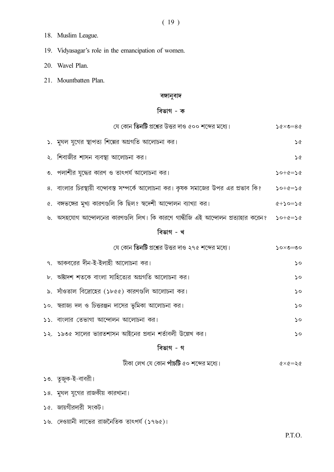- 18. Muslim League.
- 19. Vidyasagar's role in the emancipation of women.
- 20. Wavel Plan.
- 21. Mountbatten Plan.

#### বঙ্গানুবাদ

# বিভাগ - ক

| যে কোন <b>তিনটি</b> প্রশ্নের উত্তর দাও ৫০০ শব্দের মধ্যে।                                  |                                                       |
|-------------------------------------------------------------------------------------------|-------------------------------------------------------|
| ১. মুঘল যুগের স্থাপত্য শিল্পের অগ্রগতি আলোচনা কর।                                         | $\infty$                                              |
| ২. শিবাজীর শাসন ব্যবস্থা আলোচনা কর।                                                       | $\infty$                                              |
| ৩. পলাশীর যুদ্ধের কারণ ও তাৎপর্য আলোচনা কর।                                               | $20+6=20$                                             |
| ৪. বাংলার চিরস্থায়ী বন্দোবস্ত সম্পর্কে আলোচনা কর। কৃষক সমাজের উপর এর প্রভাব কি?          | $50 + 6 = 56$                                         |
| ৫. বঙ্গভঙ্গের মুখ্য কারণগুলি কি ছিল? স্বদেশী আন্দোলন ব্যাখ্যা কর।                         | $0 < +$ > $0 =$ $0 < +$ $\gamma$                      |
| ৬. অসহযোগ আন্দোলনের কারণগুলি লিখ। কি কারণে গান্ধীজি এই আন্দোলন প্রত্যাহার করেন? $50+6=56$ |                                                       |
| বিভাগ - খ                                                                                 |                                                       |
| যে কোন তিনটি প্রশ্নের উত্তর দাও ২৭৫ শব্দের মধ্যে।                                         | $20 \times 2 = 00$                                    |
| ৭. আকবরের দীন-ই-ইলাহী আলোচনা কর।                                                          | $\mathsf{S}$                                          |
| ৮. অষ্টাদশ শতকে বাংলা সাহিত্যের অগ্রগতি আলোচনা কর।                                        | $\mathsf{c}$                                          |
| ৯.  সাঁওতাল বিদ্রোহের (১৮৫৫) কারণগুলি আলোচনা কর।                                          | $\mathsf{S}$                                          |
| ১০.  স্বরাজ্য দল ও চিত্তরঞ্জন দাসের ভূমিকা আলোচনা কর।                                     | $\mathsf{S}$                                          |
| ১১. বাংলার তেভাগা আন্দোলন আলোচনা কর।                                                      | $\mathsf{S}$                                          |
| ১২.  ১৯৩৫ সালের ভারতশাসন আইনের প্রধান শর্তাবলী উল্লেখ কর।                                 | $\mathsf{S}$                                          |
| বিভাগ - গ                                                                                 |                                                       |
| টীকা লেখ যে কোন পাঁ <b>চটি</b> ৫০ শব্দের মধ্যে।                                           | $\Diamond \times \Diamond = \Diamond \times \Diamond$ |
| ১৩. তৃজুক-ই-বাবরী।                                                                        |                                                       |
|                                                                                           |                                                       |

১৪. মুঘল যুগের রাজকীয় কারখানা।

১৫. জায়গীরদারী সংকট।

 $58.$  দেওয়ানী লাভের রাজনৈতিক তাৎপর্য (১৭৬৫)।

P.T.O.